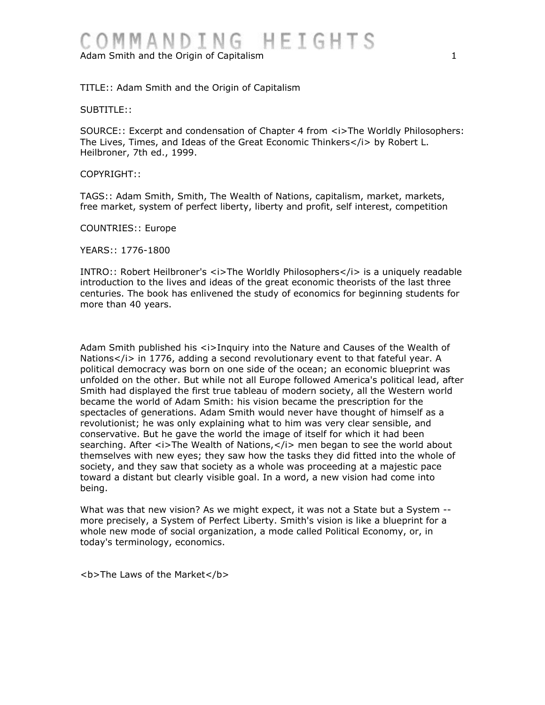TITLE:: Adam Smith and the Origin of Capitalism

SUBTITLE::

SOURCE:: Excerpt and condensation of Chapter 4 from <i>The Worldly Philosophers: The Lives, Times, and Ideas of the Great Economic Thinkers</i> by Robert L. Heilbroner, 7th ed., 1999.

COPYRIGHT::

TAGS:: Adam Smith, Smith, The Wealth of Nations, capitalism, market, markets, free market, system of perfect liberty, liberty and profit, self interest, competition

COUNTRIES:: Europe

YEARS:: 1776-1800

INTRO:: Robert Heilbroner's <i>The Worldly Philosophers</i> is a uniquely readable introduction to the lives and ideas of the great economic theorists of the last three centuries. The book has enlivened the study of economics for beginning students for more than 40 years.

Adam Smith published his <i>Inquiry into the Nature and Causes of the Wealth of Nations</i> in 1776, adding a second revolutionary event to that fateful year. A political democracy was born on one side of the ocean; an economic blueprint was unfolded on the other. But while not all Europe followed America's political lead, after Smith had displayed the first true tableau of modern society, all the Western world became the world of Adam Smith: his vision became the prescription for the spectacles of generations. Adam Smith would never have thought of himself as a revolutionist; he was only explaining what to him was very clear sensible, and conservative. But he gave the world the image of itself for which it had been searching. After <i>The Wealth of Nations, </i> men began to see the world about themselves with new eyes; they saw how the tasks they did fitted into the whole of society, and they saw that society as a whole was proceeding at a majestic pace toward a distant but clearly visible goal. In a word, a new vision had come into being.

What was that new vision? As we might expect, it was not a State but a System - more precisely, a System of Perfect Liberty. Smith's vision is like a blueprint for a whole new mode of social organization, a mode called Political Economy, or, in today's terminology, economics.

<b>The Laws of the Market</b>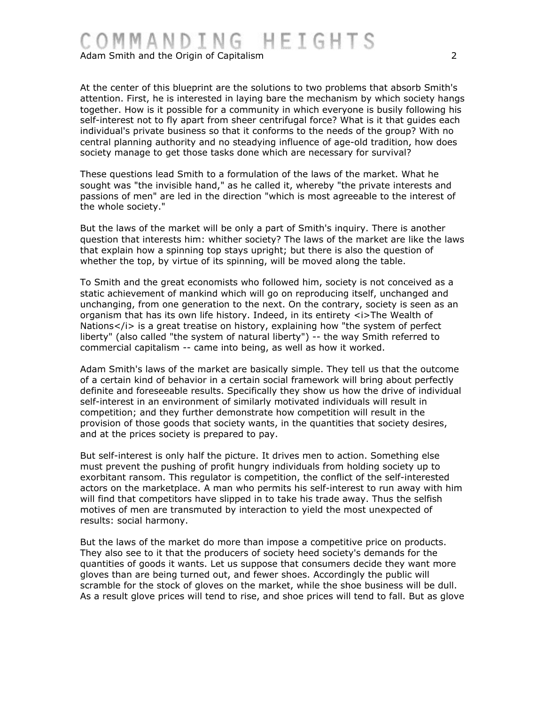Adam Smith and the Origin of Capitalism 2

At the center of this blueprint are the solutions to two problems that absorb Smith's attention. First, he is interested in laying bare the mechanism by which society hangs together. How is it possible for a community in which everyone is busily following his self-interest not to fly apart from sheer centrifugal force? What is it that guides each individual's private business so that it conforms to the needs of the group? With no central planning authority and no steadying influence of age-old tradition, how does society manage to get those tasks done which are necessary for survival?

These questions lead Smith to a formulation of the laws of the market. What he sought was "the invisible hand," as he called it, whereby "the private interests and passions of men" are led in the direction "which is most agreeable to the interest of the whole society."

But the laws of the market will be only a part of Smith's inquiry. There is another question that interests him: whither society? The laws of the market are like the laws that explain how a spinning top stays upright; but there is also the question of whether the top, by virtue of its spinning, will be moved along the table.

To Smith and the great economists who followed him, society is not conceived as a static achievement of mankind which will go on reproducing itself, unchanged and unchanging, from one generation to the next. On the contrary, society is seen as an organism that has its own life history. Indeed, in its entirety <i>The Wealth of Nations</i> is a great treatise on history, explaining how "the system of perfect liberty" (also called "the system of natural liberty") -- the way Smith referred to commercial capitalism -- came into being, as well as how it worked.

Adam Smith's laws of the market are basically simple. They tell us that the outcome of a certain kind of behavior in a certain social framework will bring about perfectly definite and foreseeable results. Specifically they show us how the drive of individual self-interest in an environment of similarly motivated individuals will result in competition; and they further demonstrate how competition will result in the provision of those goods that society wants, in the quantities that society desires, and at the prices society is prepared to pay.

But self-interest is only half the picture. It drives men to action. Something else must prevent the pushing of profit hungry individuals from holding society up to exorbitant ransom. This regulator is competition, the conflict of the self-interested actors on the marketplace. A man who permits his self-interest to run away with him will find that competitors have slipped in to take his trade away. Thus the selfish motives of men are transmuted by interaction to yield the most unexpected of results: social harmony.

But the laws of the market do more than impose a competitive price on products. They also see to it that the producers of society heed society's demands for the quantities of goods it wants. Let us suppose that consumers decide they want more gloves than are being turned out, and fewer shoes. Accordingly the public will scramble for the stock of gloves on the market, while the shoe business will be dull. As a result glove prices will tend to rise, and shoe prices will tend to fall. But as glove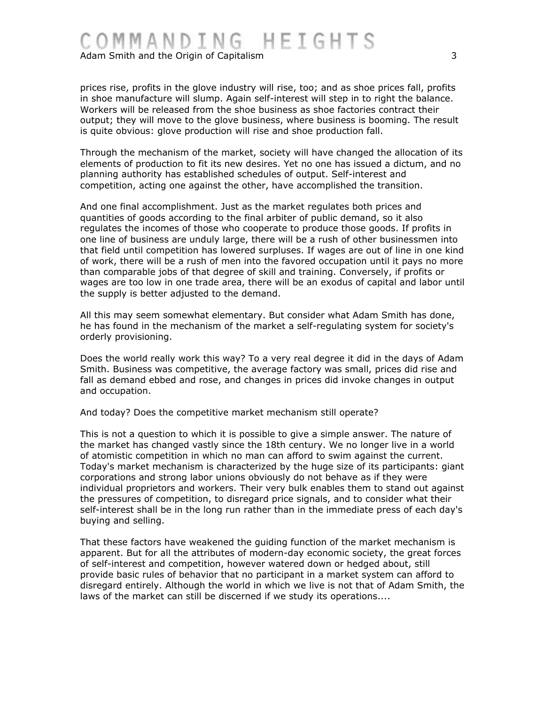prices rise, profits in the glove industry will rise, too; and as shoe prices fall, profits in shoe manufacture will slump. Again self-interest will step in to right the balance. Workers will be released from the shoe business as shoe factories contract their output; they will move to the glove business, where business is booming. The result is quite obvious: glove production will rise and shoe production fall.

Through the mechanism of the market, society will have changed the allocation of its elements of production to fit its new desires. Yet no one has issued a dictum, and no planning authority has established schedules of output. Self-interest and competition, acting one against the other, have accomplished the transition.

And one final accomplishment. Just as the market regulates both prices and quantities of goods according to the final arbiter of public demand, so it also regulates the incomes of those who cooperate to produce those goods. If profits in one line of business are unduly large, there will be a rush of other businessmen into that field until competition has lowered surpluses. If wages are out of line in one kind of work, there will be a rush of men into the favored occupation until it pays no more than comparable jobs of that degree of skill and training. Conversely, if profits or wages are too low in one trade area, there will be an exodus of capital and labor until the supply is better adjusted to the demand.

All this may seem somewhat elementary. But consider what Adam Smith has done, he has found in the mechanism of the market a self-regulating system for society's orderly provisioning.

Does the world really work this way? To a very real degree it did in the days of Adam Smith. Business was competitive, the average factory was small, prices did rise and fall as demand ebbed and rose, and changes in prices did invoke changes in output and occupation.

And today? Does the competitive market mechanism still operate?

This is not a question to which it is possible to give a simple answer. The nature of the market has changed vastly since the 18th century. We no longer live in a world of atomistic competition in which no man can afford to swim against the current. Today's market mechanism is characterized by the huge size of its participants: giant corporations and strong labor unions obviously do not behave as if they were individual proprietors and workers. Their very bulk enables them to stand out against the pressures of competition, to disregard price signals, and to consider what their self-interest shall be in the long run rather than in the immediate press of each day's buying and selling.

That these factors have weakened the guiding function of the market mechanism is apparent. But for all the attributes of modern-day economic society, the great forces of self-interest and competition, however watered down or hedged about, still provide basic rules of behavior that no participant in a market system can afford to disregard entirely. Although the world in which we live is not that of Adam Smith, the laws of the market can still be discerned if we study its operations....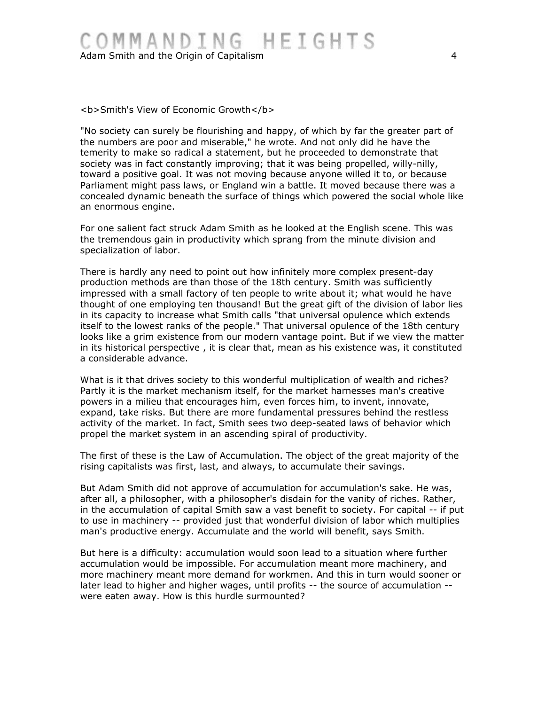<b>Smith's View of Economic Growth</b>

"No society can surely be flourishing and happy, of which by far the greater part of the numbers are poor and miserable," he wrote. And not only did he have the temerity to make so radical a statement, but he proceeded to demonstrate that society was in fact constantly improving; that it was being propelled, willy-nilly, toward a positive goal. It was not moving because anyone willed it to, or because Parliament might pass laws, or England win a battle. It moved because there was a concealed dynamic beneath the surface of things which powered the social whole like an enormous engine.

For one salient fact struck Adam Smith as he looked at the English scene. This was the tremendous gain in productivity which sprang from the minute division and specialization of labor.

There is hardly any need to point out how infinitely more complex present-day production methods are than those of the 18th century. Smith was sufficiently impressed with a small factory of ten people to write about it; what would he have thought of one employing ten thousand! But the great gift of the division of labor lies in its capacity to increase what Smith calls "that universal opulence which extends itself to the lowest ranks of the people." That universal opulence of the 18th century looks like a grim existence from our modern vantage point. But if we view the matter in its historical perspective , it is clear that, mean as his existence was, it constituted a considerable advance.

What is it that drives society to this wonderful multiplication of wealth and riches? Partly it is the market mechanism itself, for the market harnesses man's creative powers in a milieu that encourages him, even forces him, to invent, innovate, expand, take risks. But there are more fundamental pressures behind the restless activity of the market. In fact, Smith sees two deep-seated laws of behavior which propel the market system in an ascending spiral of productivity.

The first of these is the Law of Accumulation. The object of the great majority of the rising capitalists was first, last, and always, to accumulate their savings.

But Adam Smith did not approve of accumulation for accumulation's sake. He was, after all, a philosopher, with a philosopher's disdain for the vanity of riches. Rather, in the accumulation of capital Smith saw a vast benefit to society. For capital -- if put to use in machinery -- provided just that wonderful division of labor which multiplies man's productive energy. Accumulate and the world will benefit, says Smith.

But here is a difficulty: accumulation would soon lead to a situation where further accumulation would be impossible. For accumulation meant more machinery, and more machinery meant more demand for workmen. And this in turn would sooner or later lead to higher and higher wages, until profits -- the source of accumulation - were eaten away. How is this hurdle surmounted?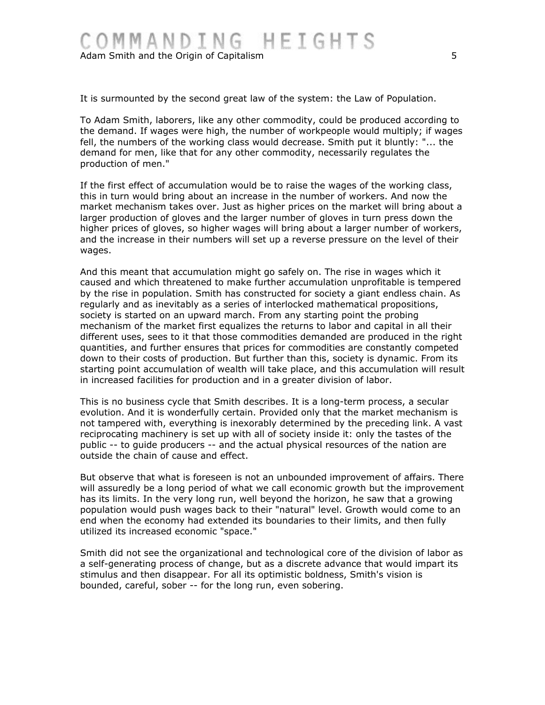It is surmounted by the second great law of the system: the Law of Population.

To Adam Smith, laborers, like any other commodity, could be produced according to the demand. If wages were high, the number of workpeople would multiply; if wages fell, the numbers of the working class would decrease. Smith put it bluntly: "... the demand for men, like that for any other commodity, necessarily regulates the production of men."

If the first effect of accumulation would be to raise the wages of the working class, this in turn would bring about an increase in the number of workers. And now the market mechanism takes over. Just as higher prices on the market will bring about a larger production of gloves and the larger number of gloves in turn press down the higher prices of gloves, so higher wages will bring about a larger number of workers, and the increase in their numbers will set up a reverse pressure on the level of their wages.

And this meant that accumulation might go safely on. The rise in wages which it caused and which threatened to make further accumulation unprofitable is tempered by the rise in population. Smith has constructed for society a giant endless chain. As regularly and as inevitably as a series of interlocked mathematical propositions, society is started on an upward march. From any starting point the probing mechanism of the market first equalizes the returns to labor and capital in all their different uses, sees to it that those commodities demanded are produced in the right quantities, and further ensures that prices for commodities are constantly competed down to their costs of production. But further than this, society is dynamic. From its starting point accumulation of wealth will take place, and this accumulation will result in increased facilities for production and in a greater division of labor.

This is no business cycle that Smith describes. It is a long-term process, a secular evolution. And it is wonderfully certain. Provided only that the market mechanism is not tampered with, everything is inexorably determined by the preceding link. A vast reciprocating machinery is set up with all of society inside it: only the tastes of the public -- to guide producers -- and the actual physical resources of the nation are outside the chain of cause and effect.

But observe that what is foreseen is not an unbounded improvement of affairs. There will assuredly be a long period of what we call economic growth but the improvement has its limits. In the very long run, well beyond the horizon, he saw that a growing population would push wages back to their "natural" level. Growth would come to an end when the economy had extended its boundaries to their limits, and then fully utilized its increased economic "space."

Smith did not see the organizational and technological core of the division of labor as a self-generating process of change, but as a discrete advance that would impart its stimulus and then disappear. For all its optimistic boldness, Smith's vision is bounded, careful, sober -- for the long run, even sobering.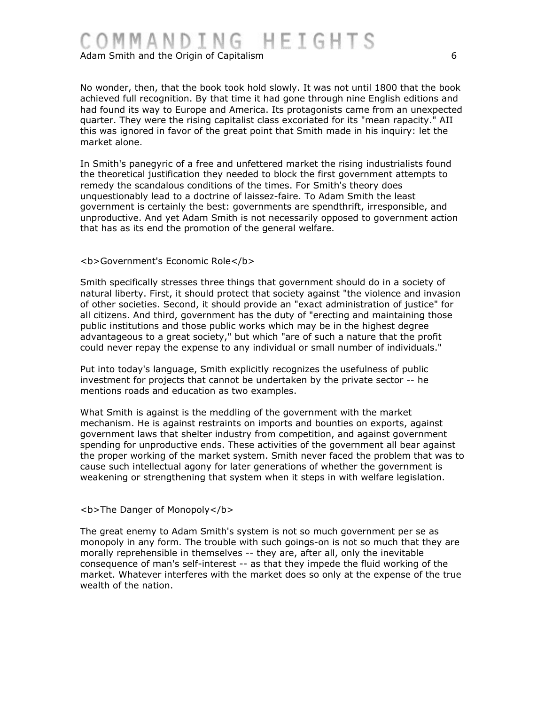## OMMANDING HEIGHTS

Adam Smith and the Origin of Capitalism 6

No wonder, then, that the book took hold slowly. It was not until 1800 that the book achieved full recognition. By that time it had gone through nine English editions and had found its way to Europe and America. Its protagonists came from an unexpected quarter. They were the rising capitalist class excoriated for its "mean rapacity." AII this was ignored in favor of the great point that Smith made in his inquiry: let the market alone.

In Smith's panegyric of a free and unfettered market the rising industrialists found the theoretical justification they needed to block the first government attempts to remedy the scandalous conditions of the times. For Smith's theory does unquestionably lead to a doctrine of laissez-faire. To Adam Smith the least government is certainly the best: governments are spendthrift, irresponsible, and unproductive. And yet Adam Smith is not necessarily opposed to government action that has as its end the promotion of the general welfare.

## <b>Government's Economic Role</b>

Smith specifically stresses three things that government should do in a society of natural liberty. First, it should protect that society against "the violence and invasion of other societies. Second, it should provide an "exact administration of justice" for all citizens. And third, government has the duty of "erecting and maintaining those public institutions and those public works which may be in the highest degree advantageous to a great society," but which "are of such a nature that the profit could never repay the expense to any individual or small number of individuals."

Put into today's language, Smith explicitly recognizes the usefulness of public investment for projects that cannot be undertaken by the private sector -- he mentions roads and education as two examples.

What Smith is against is the meddling of the government with the market mechanism. He is against restraints on imports and bounties on exports, against government laws that shelter industry from competition, and against government spending for unproductive ends. These activities of the government all bear against the proper working of the market system. Smith never faced the problem that was to cause such intellectual agony for later generations of whether the government is weakening or strengthening that system when it steps in with welfare legislation.

## <b>The Danger of Monopoly</b>

The great enemy to Adam Smith's system is not so much government per se as monopoly in any form. The trouble with such goings-on is not so much that they are morally reprehensible in themselves -- they are, after all, only the inevitable consequence of man's self-interest -- as that they impede the fluid working of the market. Whatever interferes with the market does so only at the expense of the true wealth of the nation.